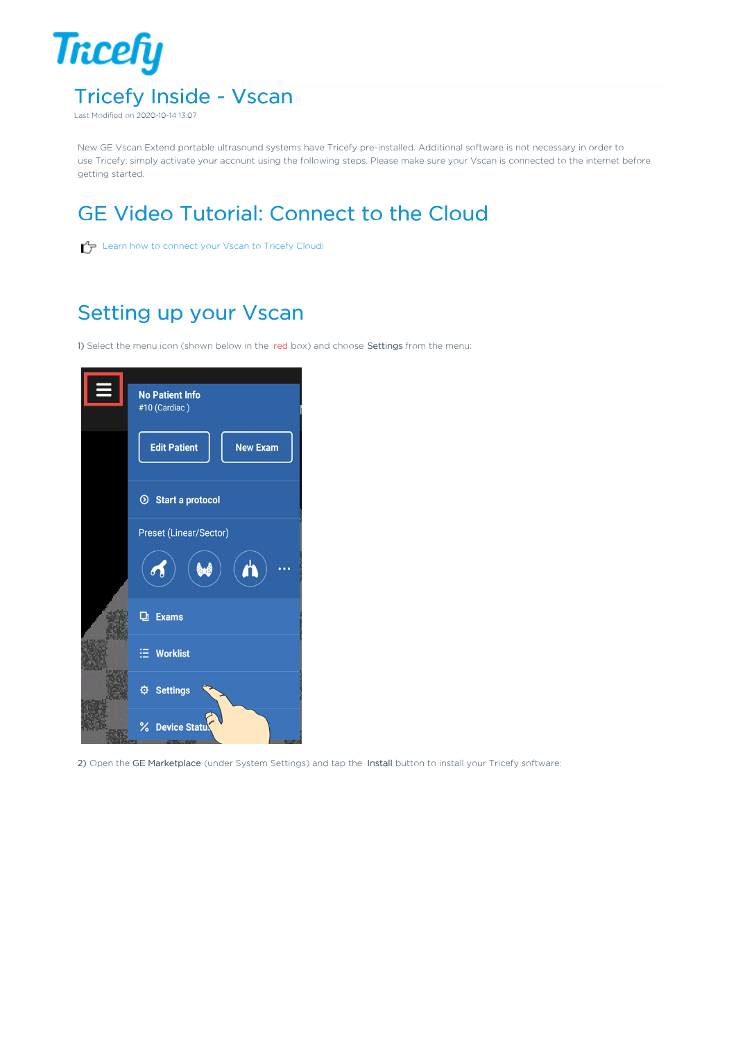

New GE Vscan Extend portable ultrasound systems have Tricefy pre-installed. Additional software is not necessary in order to use Tricefy; simply activate your account using the following steps. Please make sure your Vscan is connected to the internet before getting started.

## GE Video Tutorial: Connect to the Cloud

 $\mathcal{L}_{\mathcal{F}}$  Learn how to connect your Vscan to Tricefy Cloud!

### Setting up your Vscan

1) Select the menu icon (shown below in the red box) and choose Settings from the menu:



2) Open the GE Marketplace (under System Settings) and tap the Install button to install your Tricefy software: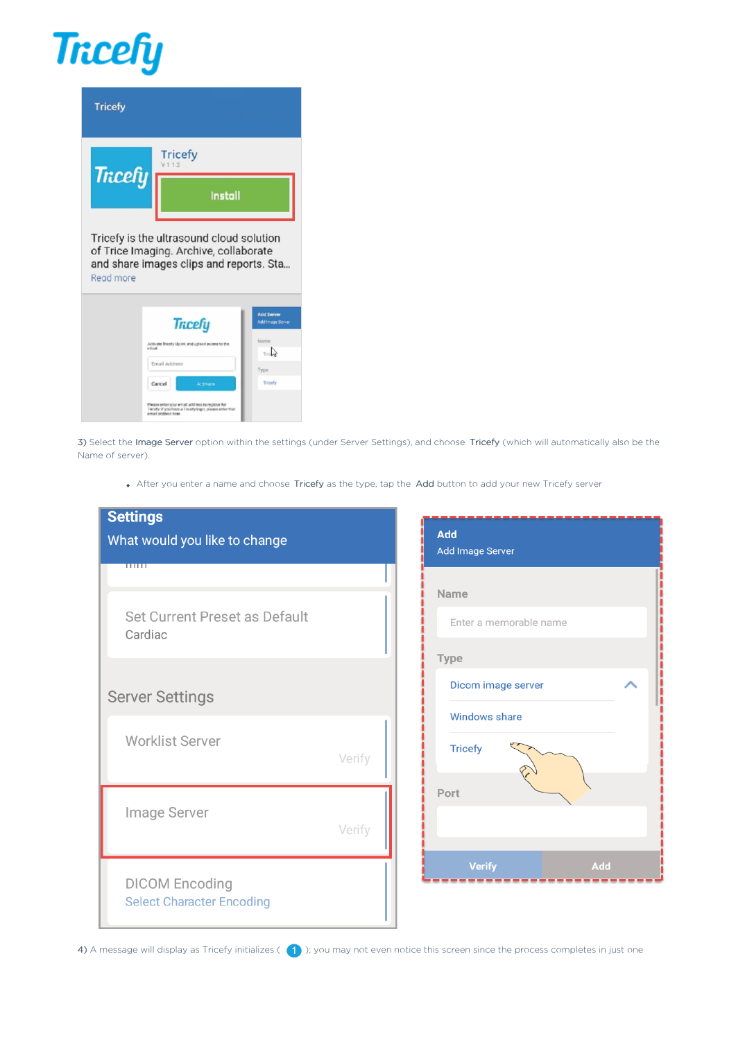# **Tricefy**

| <b>Tricefy</b> |                                          |
|----------------|------------------------------------------|
| <b>Tricefy</b> | <b>Tricefy</b><br>V1.1.2                 |
|                | Install                                  |
|                | Tricefy is the ultrasound cloud solution |

of Trice Imaging. Archive, collaborate and share images clips and reports. Sta... Read more

|                    | <b>Tricefy</b>                                                                                              | <b>Add Server</b><br><b>Add Image Server</b> |
|--------------------|-------------------------------------------------------------------------------------------------------------|----------------------------------------------|
| ellud.             | Activate Tricely Uplink and upload exams to the                                                             | Name<br>Trislan                              |
| Email Address      |                                                                                                             | Туре                                         |
| Cancel             | <b>Activate</b>                                                                                             | Triporty                                     |
| email address here | Please enter your email address to register for<br>Triciafy If you have a Tricefy login, platese enter that |                                              |

3) Select the Image Server option within the settings (under Server Settings), and choose Tricefy (which will automatically also be the Name of server).

After you enter a name and choose Tricefy as the type, tap the Add button to add your new Tricefy server

| <b>Settings</b><br>What would you like to change<br>$\overline{\phantom{a}}$ |        | <b>Add</b><br>Add Image Server                                |     |
|------------------------------------------------------------------------------|--------|---------------------------------------------------------------|-----|
| Set Current Preset as Default<br>Cardiac                                     |        | Name<br>Enter a memorable name                                |     |
| <b>Server Settings</b><br><b>Worklist Server</b>                             | Verify | Type<br>Dicom image server<br>Windows share<br><b>Tricefy</b> |     |
| Image Server                                                                 | Verify | Port                                                          |     |
| <b>DICOM Encoding</b><br><b>Select Character Encoding</b>                    |        | <b>Verify</b>                                                 | Add |

4) A message will display as Tricefy initializes ( $\Box$ ); you may not even notice this screen since the process completes in just one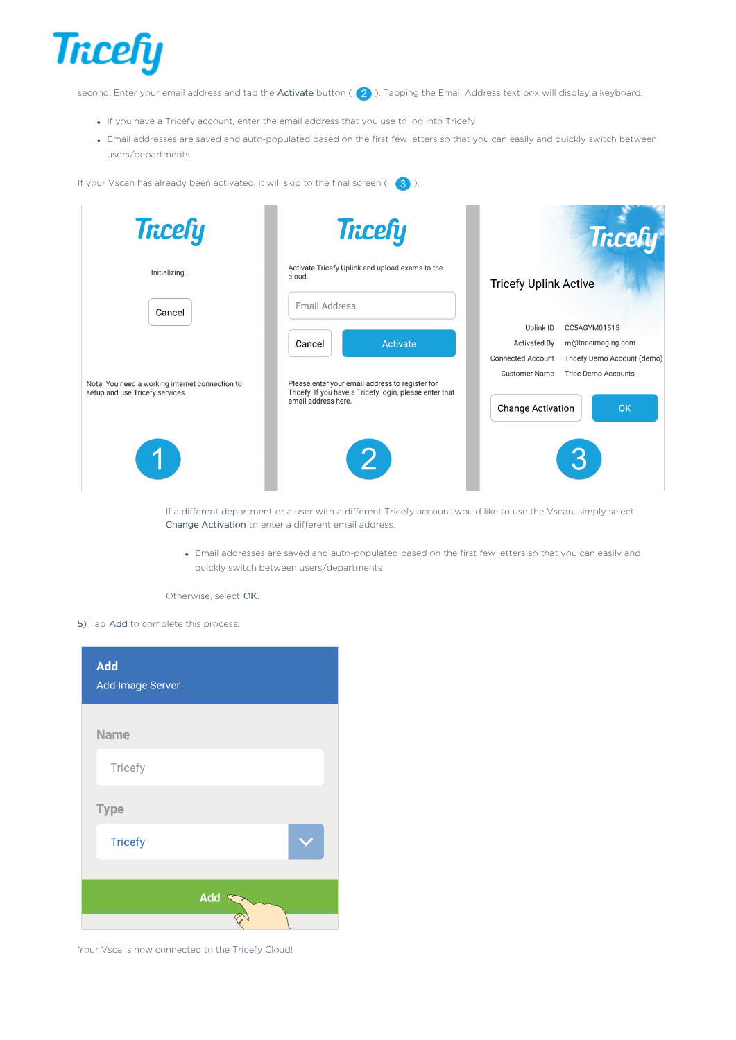

second. Enter your email address and tap the Activate button ( $\overline{2}$ ). Tapping the Email Address text box will display a keyboard.

- If you have a Tricefy account, enter the email address that you use to log into Tricefy
- Email addresses are saved and auto-populated based on the first few letters so that you can easily and quickly switch between users/departments

If your Vscan has already been activated, it will skip to the final screen ( $\overline{3}$ ).

| <b>Tricefy</b>                                                                               | <b>Tricefy</b>                                                                                                                                          | <b>Tricefy</b>                                                                                                                                                                                                                   |
|----------------------------------------------------------------------------------------------|---------------------------------------------------------------------------------------------------------------------------------------------------------|----------------------------------------------------------------------------------------------------------------------------------------------------------------------------------------------------------------------------------|
| Initializing                                                                                 | Activate Tricefy Uplink and upload exams to the<br>cloud.<br>Email Address                                                                              | <b>Tricefy Uplink Active</b>                                                                                                                                                                                                     |
| Cancel<br>Note: You need a working internet connection to<br>setup and use Tricefy services. | Activate<br>Cancel<br>Please enter your email address to register for<br>Tricefy. If you have a Tricefy login, please enter that<br>email address here. | Uplink ID<br>CC5AGYM01515<br>m@triceimaging.com<br><b>Activated By</b><br><b>Connected Account</b><br>Tricefy Demo Account (demo)<br><b>Customer Name</b><br><b>Trice Demo Accounts</b><br><b>OK</b><br><b>Change Activation</b> |
|                                                                                              | 2 <br>If a different department or a user with a different Tricefy account would like to use the Vscap simply select                                    | 3                                                                                                                                                                                                                                |

If a different department or a user with a different Tricefy account would like to use the Vscan, simply select Change Activation to enter a different email address.

Email addresses are saved and auto-populated based on the first few letters so that you can easily and quickly switch between users/departments

Otherwise, select OK.

5) Tap Add to complete this process:

| Add<br>Add Image Server |     |  |
|-------------------------|-----|--|
| <b>Name</b>             |     |  |
| Tricefy                 |     |  |
| <b>Type</b>             |     |  |
| <b>Tricefy</b>          |     |  |
|                         | Add |  |
|                         |     |  |

Your Vsca is now connected to the Tricefy Cloud!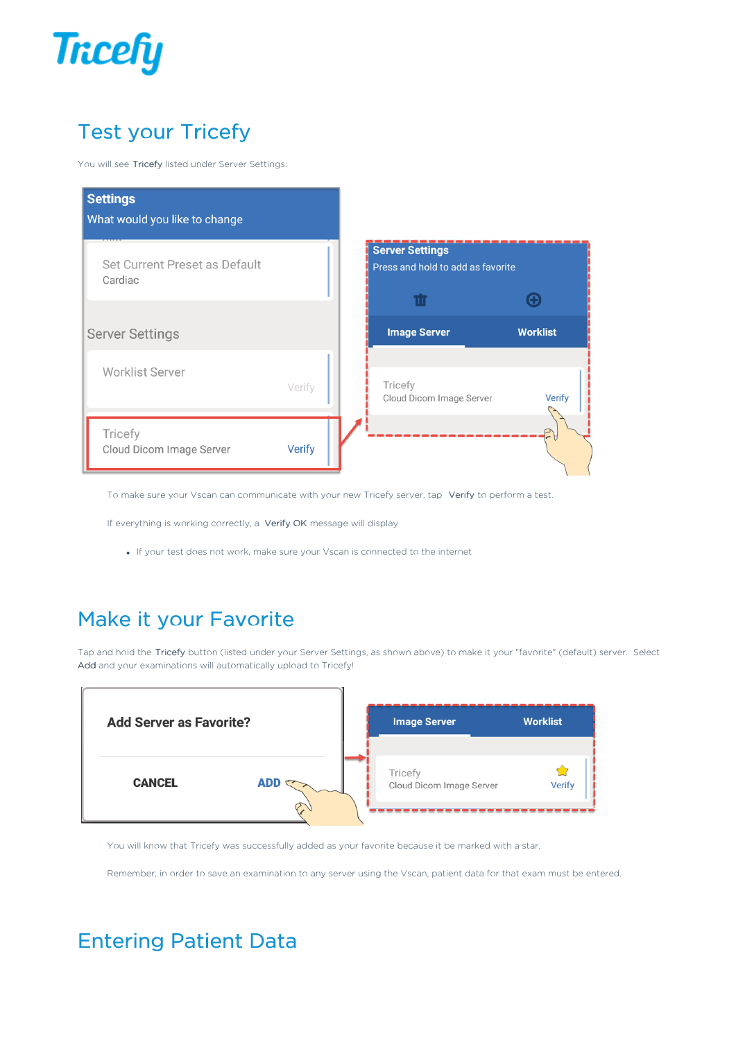

## Test your Tricefy

You will see Tricefy listed under Server Settings:



To make sure your Vscan can communicate with your new Tricefy server, tap Verify to perform a test.

If everything is working correctly, a Verify OK message will display

If your test does not work, make sure your Vscan is connected to the internet

#### Make it your Favorite

Tap and hold the Tricefy button (listed under your Server Settings, as shown above) to make it your "favorite" (default) server. Select Add and your examinations will automatically upload to Tricefy!



You will know that Tricefy was successfully added as your favorite because it be marked with a star.

Remember, in order to save an examination to any server using the Vscan, patient data for that exam must be entered.

#### Entering Patient Data